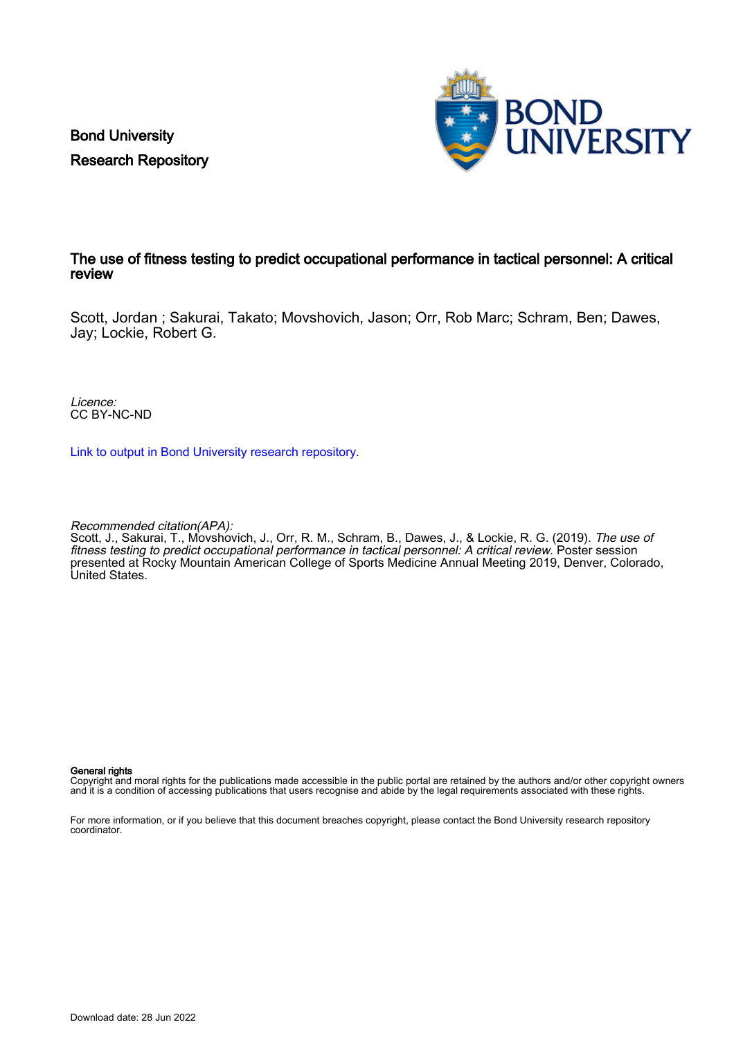Bond University Research Repository



## The use of fitness testing to predict occupational performance in tactical personnel: A critical review

Scott, Jordan ; Sakurai, Takato; Movshovich, Jason; Orr, Rob Marc; Schram, Ben; Dawes, Jay; Lockie, Robert G.

Licence: CC BY-NC-ND

[Link to output in Bond University research repository.](https://research.bond.edu.au/en/publications/2fc83199-29c8-4292-837b-65ed52512e9f)

Recommended citation(APA):

Scott, J., Sakurai, T., Movshovich, J., Orr, R. M., Schram, B., Dawes, J., & Lockie, R. G. (2019). *The use of* fitness testing to predict occupational performance in tactical personnel: A critical review. Poster session presented at Rocky Mountain American College of Sports Medicine Annual Meeting 2019, Denver, Colorado, United States.

## General rights

Copyright and moral rights for the publications made accessible in the public portal are retained by the authors and/or other copyright owners and it is a condition of accessing publications that users recognise and abide by the legal requirements associated with these rights.

For more information, or if you believe that this document breaches copyright, please contact the Bond University research repository coordinator.